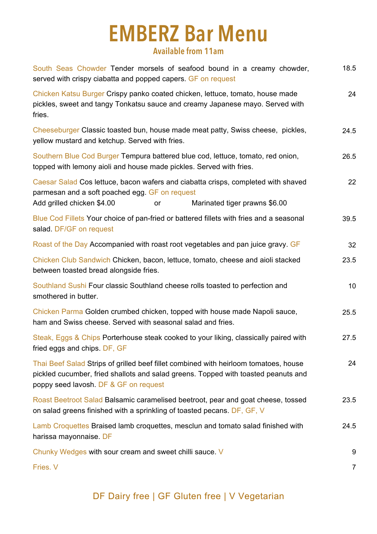### **EMBERZ Bar Menu**

#### **Available from 11am**

| South Seas Chowder Tender morsels of seafood bound in a creamy chowder,<br>served with crispy ciabatta and popped capers. GF on request                                                                         | 18.5 |
|-----------------------------------------------------------------------------------------------------------------------------------------------------------------------------------------------------------------|------|
| Chicken Katsu Burger Crispy panko coated chicken, lettuce, tomato, house made<br>pickles, sweet and tangy Tonkatsu sauce and creamy Japanese mayo. Served with<br>fries.                                        | 24   |
| Cheeseburger Classic toasted bun, house made meat patty, Swiss cheese, pickles,<br>yellow mustard and ketchup. Served with fries.                                                                               | 24.5 |
| Southern Blue Cod Burger Tempura battered blue cod, lettuce, tomato, red onion,<br>topped with lemony aioli and house made pickles. Served with fries.                                                          | 26.5 |
| Caesar Salad Cos lettuce, bacon wafers and ciabatta crisps, completed with shaved<br>parmesan and a soft poached egg. GF on request<br>Add grilled chicken \$4.00<br>Marinated tiger prawns \$6.00<br><u>or</u> | 22   |
| Blue Cod Fillets Your choice of pan-fried or battered fillets with fries and a seasonal<br>salad. DF/GF on request                                                                                              | 39.5 |
| Roast of the Day Accompanied with roast root vegetables and pan juice gravy. GF                                                                                                                                 | 32   |
| Chicken Club Sandwich Chicken, bacon, lettuce, tomato, cheese and aioli stacked<br>between toasted bread alongside fries.                                                                                       | 23.5 |
|                                                                                                                                                                                                                 |      |

| Southland Sushi Four classic Southland cheese rolls toasted to perfection and<br>smothered in butter.                                                                                                               | 10   |
|---------------------------------------------------------------------------------------------------------------------------------------------------------------------------------------------------------------------|------|
| Chicken Parma Golden crumbed chicken, topped with house made Napoli sauce,<br>ham and Swiss cheese. Served with seasonal salad and fries.                                                                           | 25.5 |
| Steak, Eggs & Chips Porterhouse steak cooked to your liking, classically paired with<br>fried eggs and chips. DF, GF                                                                                                | 27.5 |
| Thai Beef Salad Strips of grilled beef fillet combined with heirloom tomatoes, house<br>pickled cucumber, fried shallots and salad greens. Topped with toasted peanuts and<br>poppy seed lavosh. DF & GF on request | 24   |
| Roast Beetroot Salad Balsamic caramelised beetroot, pear and goat cheese, tossed<br>on salad greens finished with a sprinkling of toasted pecans. DF, GF, V                                                         | 23.5 |
| Lamb Croquettes Braised lamb croquettes, mesclun and tomato salad finished with<br>harissa mayonnaise. DF                                                                                                           | 24.5 |
| Chunky Wedges with sour cream and sweet chilli sauce. V                                                                                                                                                             | 9    |
| Fries. V                                                                                                                                                                                                            |      |

DF Dairy free | GF Gluten free | V Vegetarian